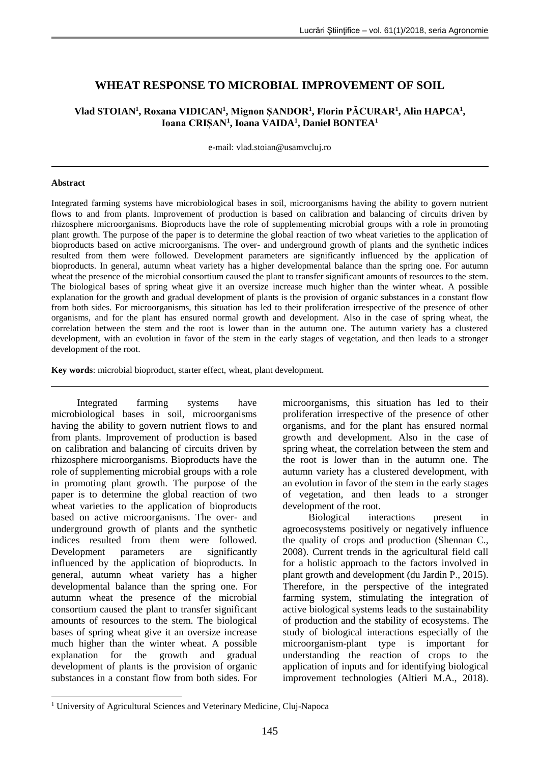# **WHEAT RESPONSE TO MICROBIAL IMPROVEMENT OF SOIL**

## **Vlad STOIAN<sup>1</sup> , Roxana VIDICAN<sup>1</sup> , Mignon ȘANDOR<sup>1</sup> , Florin PĂCURAR<sup>1</sup> , Alin HAPCA<sup>1</sup> , Ioana CRIȘAN<sup>1</sup> , Ioana VAIDA<sup>1</sup> , Daniel BONTEA<sup>1</sup>**

e-mail: vlad.stoian@usamvcluj.ro

#### **Abstract**

1

Integrated farming systems have microbiological bases in soil, microorganisms having the ability to govern nutrient flows to and from plants. Improvement of production is based on calibration and balancing of circuits driven by rhizosphere microorganisms. Bioproducts have the role of supplementing microbial groups with a role in promoting plant growth. The purpose of the paper is to determine the global reaction of two wheat varieties to the application of bioproducts based on active microorganisms. The over- and underground growth of plants and the synthetic indices resulted from them were followed. Development parameters are significantly influenced by the application of bioproducts. In general, autumn wheat variety has a higher developmental balance than the spring one. For autumn wheat the presence of the microbial consortium caused the plant to transfer significant amounts of resources to the stem. The biological bases of spring wheat give it an oversize increase much higher than the winter wheat. A possible explanation for the growth and gradual development of plants is the provision of organic substances in a constant flow from both sides. For microorganisms, this situation has led to their proliferation irrespective of the presence of other organisms, and for the plant has ensured normal growth and development. Also in the case of spring wheat, the correlation between the stem and the root is lower than in the autumn one. The autumn variety has a clustered development, with an evolution in favor of the stem in the early stages of vegetation, and then leads to a stronger development of the root.

**Key words**: microbial bioproduct, starter effect, wheat, plant development.

Integrated farming systems have microbiological bases in soil, microorganisms having the ability to govern nutrient flows to and from plants. Improvement of production is based on calibration and balancing of circuits driven by rhizosphere microorganisms. Bioproducts have the role of supplementing microbial groups with a role in promoting plant growth. The purpose of the paper is to determine the global reaction of two wheat varieties to the application of bioproducts based on active microorganisms. The over- and underground growth of plants and the synthetic indices resulted from them were followed. Development parameters are significantly influenced by the application of bioproducts. In general, autumn wheat variety has a higher developmental balance than the spring one. For autumn wheat the presence of the microbial consortium caused the plant to transfer significant amounts of resources to the stem. The biological bases of spring wheat give it an oversize increase much higher than the winter wheat. A possible explanation for the growth and gradual development of plants is the provision of organic substances in a constant flow from both sides. For microorganisms, this situation has led to their proliferation irrespective of the presence of other organisms, and for the plant has ensured normal growth and development. Also in the case of spring wheat, the correlation between the stem and the root is lower than in the autumn one. The autumn variety has a clustered development, with an evolution in favor of the stem in the early stages of vegetation, and then leads to a stronger development of the root.

Biological interactions present in agroecosystems positively or negatively influence the quality of crops and production (Shennan C., 2008). Current trends in the agricultural field call for a holistic approach to the factors involved in plant growth and development (du Jardin P., 2015). Therefore, in the perspective of the integrated farming system, stimulating the integration of active biological systems leads to the sustainability of production and the stability of ecosystems. The study of biological interactions especially of the microorganism-plant type is important for understanding the reaction of crops to the application of inputs and for identifying biological improvement technologies (Altieri M.A., 2018).

<sup>&</sup>lt;sup>1</sup> University of Agricultural Sciences and Veterinary Medicine, Cluj-Napoca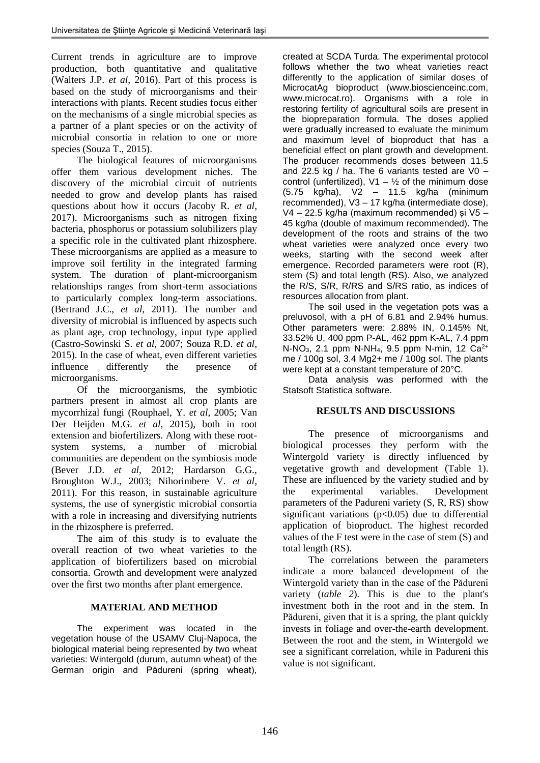Current trends in agriculture are to improve production, both quantitative and qualitative (Walters J.P. *et al*, 2016). Part of this process is based on the study of microorganisms and their interactions with plants. Recent studies focus either on the mechanisms of a single microbial species as a partner of a plant species or on the activity of microbial consortia in relation to one or more species (Souza T., 2015).

The biological features of microorganisms offer them various development niches. The discovery of the microbial circuit of nutrients needed to grow and develop plants has raised questions about how it occurs (Jacoby R. *et al*, 2017). Microorganisms such as nitrogen fixing bacteria, phosphorus or potassium solubilizers play a specific role in the cultivated plant rhizosphere. These microorganisms are applied as a measure to improve soil fertility in the integrated farming system. The duration of plant-microorganism relationships ranges from short-term associations to particularly complex long-term associations. (Bertrand J.C., *et al*, 2011). The number and diversity of microbial is influenced by aspects such as plant age, crop technology, input type applied (Castro-Sowinski S. *et al*, 2007; Souza R.D. *et al*, 2015). In the case of wheat, even different varieties influence differently the presence of microorganisms.

Of the microorganisms, the symbiotic partners present in almost all crop plants are mycorrhizal fungi (Rouphael, Y. *et al*, 2005; Van Der Heijden M.G. *et al*, 2015), both in root extension and biofertilizers. Along with these rootsystem systems, a number of microbial communities are dependent on the symbiosis mode (Bever J.D. *et al*, 2012; Hardarson G.G., Broughton W.J., 2003; Nihorimbere V. *et al*, 2011). For this reason, in sustainable agriculture systems, the use of synergistic microbial consortia with a role in increasing and diversifying nutrients in the rhizosphere is preferred.

The aim of this study is to evaluate the overall reaction of two wheat varieties to the application of biofertilizers based on microbial consortia. Growth and development were analyzed over the first two months after plant emergence.

## **MATERIAL AND METHOD**

The experiment was located in the vegetation house of the USAMV Cluj-Napoca, the biological material being represented by two wheat varieties: Wintergold (durum, autumn wheat) of the German origin and Pădureni (spring wheat), created at SCDA Turda. The experimental protocol follows whether the two wheat varieties react differently to the application of similar doses of MicrocatAg bioproduct (www.bioscienceinc.com, www.microcat.ro). Organisms with a role in restoring fertility of agricultural soils are present in the biopreparation formula. The doses applied were gradually increased to evaluate the minimum and maximum level of bioproduct that has a beneficial effect on plant growth and development. The producer recommends doses between 11.5 and 22.5 kg / ha. The 6 variants tested are V0 – control (unfertilized),  $V1 - V_2$  of the minimum dose (5.75 kg/ha), V2 – 11.5 kg/ha (minimum recommended), V3 – 17 kg/ha (intermediate dose), V4 – 22.5 kg/ha (maximum recommended) și V5 – 45 kg/ha (double of maximum recommended). The development of the roots and strains of the two wheat varieties were analyzed once every two weeks, starting with the second week after emergence. Recorded parameters were root (R), stem (S) and total length (RS). Also, we analyzed the R/S, S/R, R/RS and S/RS ratio, as indices of resources allocation from plant.

The soil used in the vegetation pots was a preluvosol, with a pH of 6.81 and 2.94% humus. Other parameters were: 2.88% IN, 0.145% Nt, 33.52% U, 400 ppm P-AL, 462 ppm K-AL, 7.4 ppm  $N-NO_3$ , 2.1 ppm  $N-NH_4$ , 9.5 ppm  $N\text{-min}$ , 12  $Ca^{2+}$ me / 100g sol, 3.4 Mg2+ me / 100g sol. The plants were kept at a constant temperature of 20°C.

Data analysis was performed with the Statsoft Statistica software.

## **RESULTS AND DISCUSSIONS**

The presence of microorganisms and biological processes they perform with the Wintergold variety is directly influenced by vegetative growth and development (Table 1). These are influenced by the variety studied and by the experimental variables. Development parameters of the Padureni variety (S, R, RS) show significant variations  $(p<0.05)$  due to differential application of bioproduct. The highest recorded values of the F test were in the case of stem (S) and total length (RS).

The correlations between the parameters indicate a more balanced development of the Wintergold variety than in the case of the Pădureni variety (*table 2*). This is due to the plant's investment both in the root and in the stem. In Pădureni, given that it is a spring, the plant quickly invests in foliage and over-the-earth development. Between the root and the stem, in Wintergold we see a significant correlation, while in Padureni this value is not significant.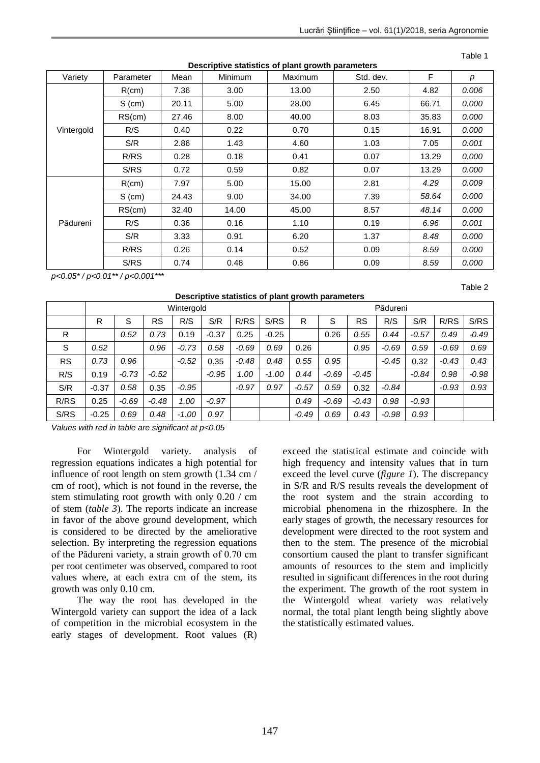| iperro otationoo or piant grontii parann |           |       |                                               |       |      |       |       |  |
|------------------------------------------|-----------|-------|-----------------------------------------------|-------|------|-------|-------|--|
| Variety                                  | Parameter | Mean  | <b>Minimum</b><br>Std. dev.<br><b>Maximum</b> |       |      | F     | р     |  |
| Vintergold                               | R(cm)     | 7.36  | 3.00                                          | 13.00 | 2.50 | 4.82  | 0.006 |  |
|                                          | $S$ (cm)  | 20.11 | 5.00                                          | 28.00 | 6.45 | 66.71 | 0.000 |  |
|                                          | RS(cm)    | 27.46 | 8.00                                          | 40.00 | 8.03 | 35.83 | 0.000 |  |
|                                          | R/S       | 0.40  | 0.22                                          | 0.70  | 0.15 | 16.91 | 0.000 |  |
|                                          | S/R       | 2.86  | 1.43                                          | 4.60  | 1.03 | 7.05  | 0.001 |  |
|                                          | R/RS      | 0.28  | 0.18                                          | 0.41  | 0.07 | 13.29 | 0.000 |  |
|                                          | S/RS      | 0.72  | 0.59                                          | 0.82  | 0.07 | 13.29 | 0.000 |  |
| Pădureni                                 | R(cm)     | 7.97  | 5.00                                          | 15.00 | 2.81 | 4.29  | 0.009 |  |
|                                          | $S$ (cm)  | 24.43 | 9.00                                          | 34.00 | 7.39 | 58.64 | 0.000 |  |
|                                          | RS(cm)    | 32.40 | 14.00                                         | 45.00 | 8.57 | 48.14 | 0.000 |  |
|                                          | R/S       | 0.36  | 0.16                                          | 1.10  | 0.19 | 6.96  | 0.001 |  |
|                                          | S/R       | 3.33  | 0.91                                          | 6.20  | 1.37 | 8.48  | 0.000 |  |
|                                          | R/RS      | 0.26  | 0.14                                          | 0.52  | 0.09 | 8.59  | 0.000 |  |
|                                          | S/RS      | 0.74  | 0.48                                          | 0.86  | 0.09 | 8.59  | 0.000 |  |

**Descriptive statistics of plant growth parameters**

Table 1

Table 2

*p<0.05\* / p<0.01\*\* / p<0.001\*\*\**

| Descriptive statistics of plant growth parameters |            |         |           |         |         |         |                 |         |         |           |         |         |         |         |
|---------------------------------------------------|------------|---------|-----------|---------|---------|---------|-----------------|---------|---------|-----------|---------|---------|---------|---------|
|                                                   | Wintergold |         |           |         |         |         | <b>Pădureni</b> |         |         |           |         |         |         |         |
|                                                   | R          | S       | <b>RS</b> | R/S     | S/R     | R/RS    | S/RS            | R       | S       | <b>RS</b> | R/S     | S/R     | R/RS    | S/RS    |
| R                                                 |            | 0.52    | 0.73      | 0.19    | $-0.37$ | 0.25    | $-0.25$         |         | 0.26    | 0.55      | 0.44    | $-0.57$ | 0.49    | $-0.49$ |
| S                                                 | 0.52       |         | 0.96      | $-0.73$ | 0.58    | $-0.69$ | 0.69            | 0.26    |         | 0.95      | $-0.69$ | 0.59    | $-0.69$ | 0.69    |
| <b>RS</b>                                         | 0.73       | 0.96    |           | $-0.52$ | 0.35    | $-0.48$ | 0.48            | 0.55    | 0.95    |           | $-0.45$ | 0.32    | $-0.43$ | 0.43    |
| R/S                                               | 0.19       | $-0.73$ | $-0.52$   |         | $-0.95$ | 1.00    | $-1.00$         | 0.44    | $-0.69$ | $-0.45$   |         | $-0.84$ | 0.98    | $-0.98$ |
| S/R                                               | $-0.37$    | 0.58    | 0.35      | $-0.95$ |         | $-0.97$ | 0.97            | $-0.57$ | 0.59    | 0.32      | $-0.84$ |         | $-0.93$ | 0.93    |
| R/RS                                              | 0.25       | $-0.69$ | $-0.48$   | 1.00    | $-0.97$ |         |                 | 0.49    | $-0.69$ | $-0.43$   | 0.98    | $-0.93$ |         |         |
| S/RS                                              | $-0.25$    | 0.69    | 0.48      | $-1.00$ | 0.97    |         |                 | $-0.49$ | 0.69    | 0.43      | $-0.98$ | 0.93    |         |         |

*Values with red in table are significant at p<0.05*

For Wintergold variety. analysis of regression equations indicates a high potential for influence of root length on stem growth (1.34 cm / cm of root), which is not found in the reverse, the stem stimulating root growth with only 0.20 / cm of stem (*table 3*). The reports indicate an increase in favor of the above ground development, which is considered to be directed by the ameliorative selection. By interpreting the regression equations of the Pădureni variety, a strain growth of 0.70 cm per root centimeter was observed, compared to root values where, at each extra cm of the stem, its growth was only 0.10 cm.

The way the root has developed in the Wintergold variety can support the idea of a lack of competition in the microbial ecosystem in the early stages of development. Root values (R) exceed the statistical estimate and coincide with high frequency and intensity values that in turn exceed the level curve (*figure 1*). The discrepancy in S/R and R/S results reveals the development of the root system and the strain according to microbial phenomena in the rhizosphere. In the early stages of growth, the necessary resources for development were directed to the root system and then to the stem. The presence of the microbial consortium caused the plant to transfer significant amounts of resources to the stem and implicitly resulted in significant differences in the root during the experiment. The growth of the root system in the Wintergold wheat variety was relatively normal, the total plant length being slightly above the statistically estimated values.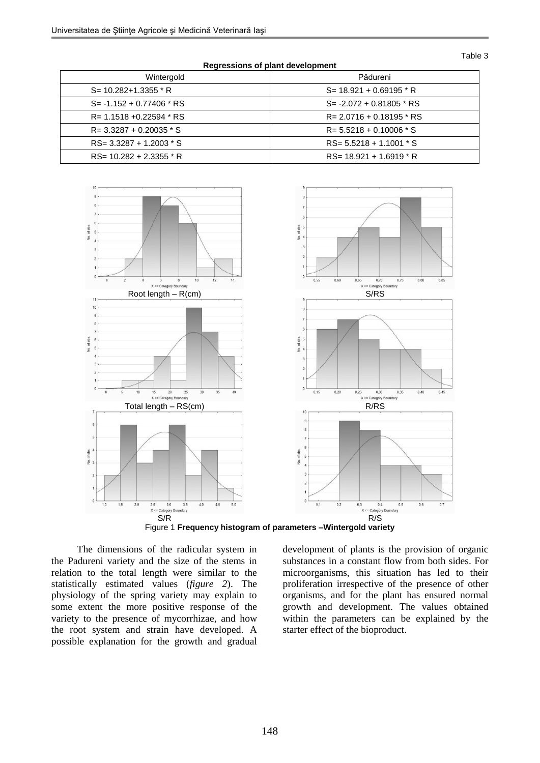Table 3

| <b>Regissions of plant actorphicit</b> |                             |  |  |  |  |  |  |
|----------------------------------------|-----------------------------|--|--|--|--|--|--|
| Wintergold                             | Pădureni                    |  |  |  |  |  |  |
| $S = 10.282 + 1.3355$ * R              | $S = 18.921 + 0.69195 * R$  |  |  |  |  |  |  |
| $S = -1.152 + 0.77406 * RS$            | $S = -2.072 + 0.81805 * RS$ |  |  |  |  |  |  |
| $R = 1.1518 + 0.22594 * RS$            | $R = 2.0716 + 0.18195$ * RS |  |  |  |  |  |  |
| $R = 3.3287 + 0.20035 * S$             | $R = 5.5218 + 0.10006 * S$  |  |  |  |  |  |  |
| $RS = 3.3287 + 1.2003 * S$             | $RS = 5.5218 + 1.1001 * S$  |  |  |  |  |  |  |
| $RS = 10.282 + 2.3355 * R$             | $RS = 18.921 + 1.6919 * R$  |  |  |  |  |  |  |

**Regressions of plant development**



Figure 1 **Frequency histogram of parameters –Wintergold variety**

The dimensions of the radicular system in the Padureni variety and the size of the stems in relation to the total length were similar to the statistically estimated values (*figure 2*). The physiology of the spring variety may explain to some extent the more positive response of the variety to the presence of mycorrhizae, and how the root system and strain have developed. A possible explanation for the growth and gradual development of plants is the provision of organic substances in a constant flow from both sides. For microorganisms, this situation has led to their proliferation irrespective of the presence of other organisms, and for the plant has ensured normal growth and development. The values obtained within the parameters can be explained by the starter effect of the bioproduct.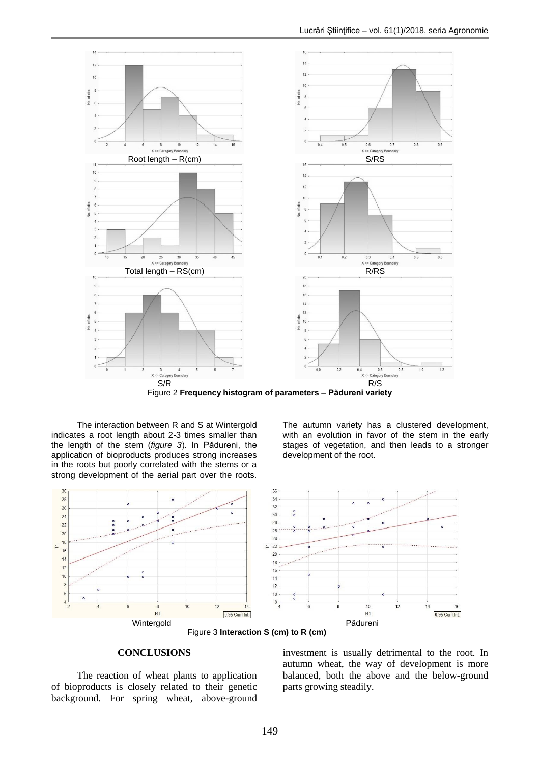

Figure 2 **Frequency histogram of parameters – Pădureni variety**

The interaction between R and S at Wintergold indicates a root length about 2-3 times smaller than the length of the stem (*figure 3*). In Pădureni, the application of bioproducts produces strong increases in the roots but poorly correlated with the stems or a strong development of the aerial part over the roots.

The autumn variety has a clustered development, with an evolution in favor of the stem in the early stages of vegetation, and then leads to a stronger development of the root.





#### **CONCLUSIONS**

The reaction of wheat plants to application of bioproducts is closely related to their genetic background. For spring wheat, above-ground investment is usually detrimental to the root. In autumn wheat, the way of development is more balanced, both the above and the below-ground parts growing steadily.